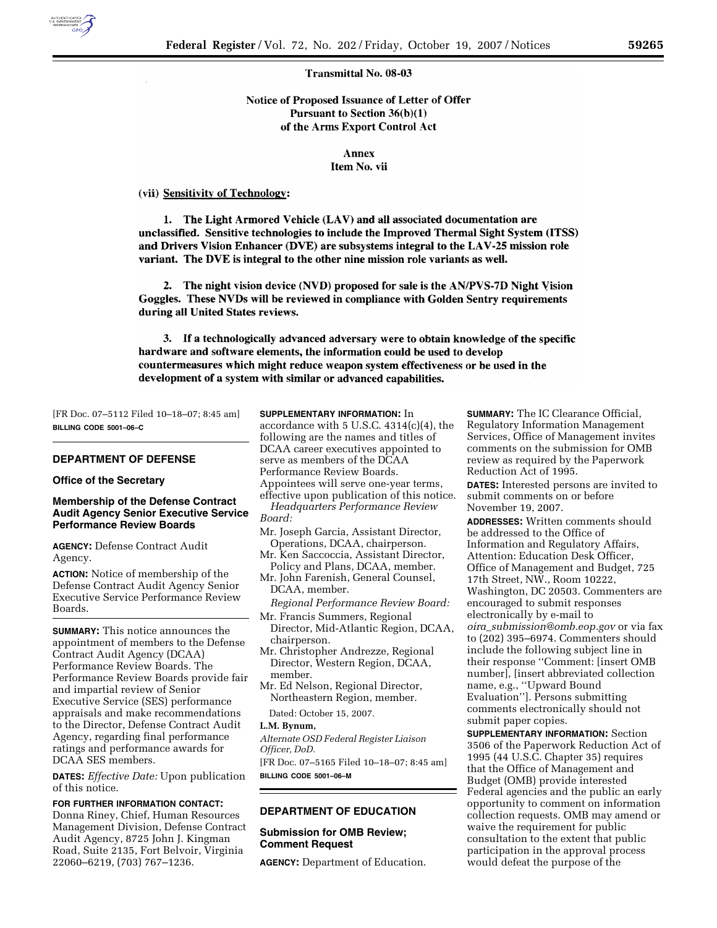

#### **Transmittal No. 08-03**

# Notice of Proposed Issuance of Letter of Offer Pursuant to Section  $36(b)(1)$ of the Arms Export Control Act

# Annex

# Item No. vii

### (vii) Sensitivity of Technology:

1. The Light Armored Vehicle (LAV) and all associated documentation are unclassified. Sensitive technologies to include the Improved Thermal Sight System (ITSS) and Drivers Vision Enhancer (DVE) are subsystems integral to the LAV-25 mission role variant. The DVE is integral to the other nine mission role variants as well.

2. The night vision device (NVD) proposed for sale is the AN/PVS-7D Night Vision Goggles. These NVDs will be reviewed in compliance with Golden Sentry requirements during all United States reviews.

3. If a technologically advanced adversary were to obtain knowledge of the specific hardware and software elements, the information could be used to develop countermeasures which might reduce weapon system effectiveness or be used in the development of a system with similar or advanced capabilities.

[FR Doc. 07–5112 Filed 10–18–07; 8:45 am] **BILLING CODE 5001–06–C** 

#### **DEPARTMENT OF DEFENSE**

#### **Office of the Secretary**

### **Membership of the Defense Contract Audit Agency Senior Executive Service Performance Review Boards**

**AGENCY:** Defense Contract Audit Agency.

**ACTION:** Notice of membership of the Defense Contract Audit Agency Senior Executive Service Performance Review Boards.

**SUMMARY:** This notice announces the appointment of members to the Defense Contract Audit Agency (DCAA) Performance Review Boards. The Performance Review Boards provide fair and impartial review of Senior Executive Service (SES) performance appraisals and make recommendations to the Director, Defense Contract Audit Agency, regarding final performance ratings and performance awards for DCAA SES members.

**DATES:** *Effective Date:* Upon publication of this notice.

#### **FOR FURTHER INFORMATION CONTACT:**

Donna Riney, Chief, Human Resources Management Division, Defense Contract Audit Agency, 8725 John J. Kingman Road, Suite 2135, Fort Belvoir, Virginia 22060–6219, (703) 767–1236.

- **SUPPLEMENTARY INFORMATION:** In accordance with 5 U.S.C. 4314(c)(4), the following are the names and titles of DCAA career executives appointed to serve as members of the DCAA Performance Review Boards. Appointees will serve one-year terms, effective upon publication of this notice.
- *Headquarters Performance Review Board:*
- Mr. Joseph Garcia, Assistant Director, Operations, DCAA, chairperson.
- Mr. Ken Saccoccia, Assistant Director, Policy and Plans, DCAA, member.
- Mr. John Farenish, General Counsel, DCAA, member.

*Regional Performance Review Board:*  Mr. Francis Summers, Regional

- Director, Mid-Atlantic Region, DCAA, chairperson.
- Mr. Christopher Andrezze, Regional Director, Western Region, DCAA, member.
- Mr. Ed Nelson, Regional Director, Northeastern Region, member.
- Dated: October 15, 2007.

# **L.M. Bynum,**

*Alternate OSD Federal Register Liaison Officer, DoD.*  [FR Doc. 07–5165 Filed 10–18–07; 8:45 am]

**BILLING CODE 5001–06–M** 

#### **DEPARTMENT OF EDUCATION**

## **Submission for OMB Review; Comment Request**

**AGENCY:** Department of Education.

**SUMMARY:** The IC Clearance Official, Regulatory Information Management Services, Office of Management invites comments on the submission for OMB review as required by the Paperwork Reduction Act of 1995.

**DATES:** Interested persons are invited to submit comments on or before November 19, 2007.

**ADDRESSES:** Written comments should be addressed to the Office of Information and Regulatory Affairs, Attention: Education Desk Officer, Office of Management and Budget, 725 17th Street, NW., Room 10222, Washington, DC 20503. Commenters are encouraged to submit responses electronically by e-mail to *oira*\_*submission@omb.eop.gov* or via fax to (202) 395–6974. Commenters should include the following subject line in their response ''Comment: [insert OMB number], [insert abbreviated collection name, e.g., ''Upward Bound Evaluation'']. Persons submitting comments electronically should not submit paper copies.

**SUPPLEMENTARY INFORMATION:** Section 3506 of the Paperwork Reduction Act of 1995 (44 U.S.C. Chapter 35) requires that the Office of Management and Budget (OMB) provide interested Federal agencies and the public an early opportunity to comment on information collection requests. OMB may amend or waive the requirement for public consultation to the extent that public participation in the approval process would defeat the purpose of the